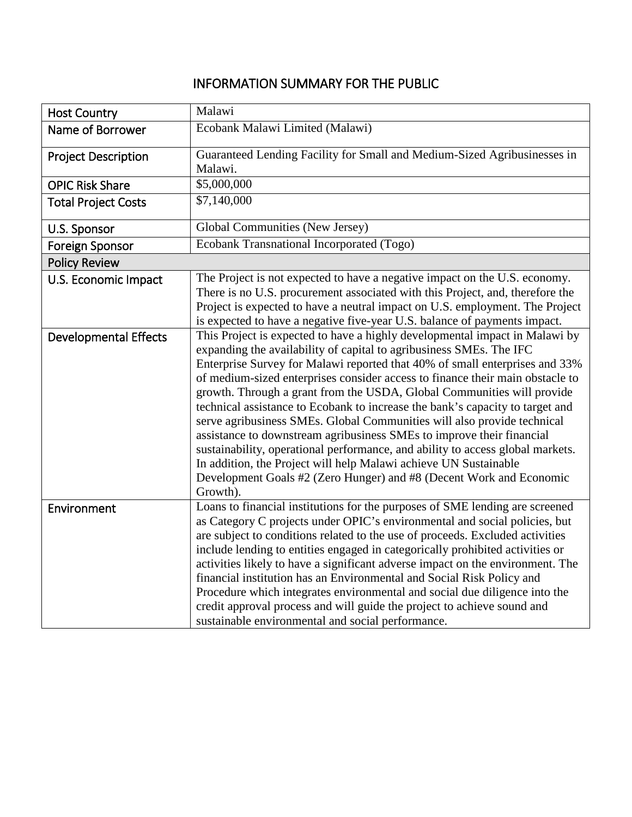## INFORMATION SUMMARY FOR THE PUBLIC

| <b>Host Country</b>          | Malawi                                                                                                                                                                                                                                                                                                                                                                                                                                                                                                                                                                                                                                                                                                                                                                                                                                                                     |  |
|------------------------------|----------------------------------------------------------------------------------------------------------------------------------------------------------------------------------------------------------------------------------------------------------------------------------------------------------------------------------------------------------------------------------------------------------------------------------------------------------------------------------------------------------------------------------------------------------------------------------------------------------------------------------------------------------------------------------------------------------------------------------------------------------------------------------------------------------------------------------------------------------------------------|--|
| Name of Borrower             | Ecobank Malawi Limited (Malawi)                                                                                                                                                                                                                                                                                                                                                                                                                                                                                                                                                                                                                                                                                                                                                                                                                                            |  |
| <b>Project Description</b>   | Guaranteed Lending Facility for Small and Medium-Sized Agribusinesses in<br>Malawi.                                                                                                                                                                                                                                                                                                                                                                                                                                                                                                                                                                                                                                                                                                                                                                                        |  |
| <b>OPIC Risk Share</b>       | \$5,000,000                                                                                                                                                                                                                                                                                                                                                                                                                                                                                                                                                                                                                                                                                                                                                                                                                                                                |  |
| <b>Total Project Costs</b>   | \$7,140,000                                                                                                                                                                                                                                                                                                                                                                                                                                                                                                                                                                                                                                                                                                                                                                                                                                                                |  |
| U.S. Sponsor                 | Global Communities (New Jersey)                                                                                                                                                                                                                                                                                                                                                                                                                                                                                                                                                                                                                                                                                                                                                                                                                                            |  |
| <b>Foreign Sponsor</b>       | Ecobank Transnational Incorporated (Togo)                                                                                                                                                                                                                                                                                                                                                                                                                                                                                                                                                                                                                                                                                                                                                                                                                                  |  |
| <b>Policy Review</b>         |                                                                                                                                                                                                                                                                                                                                                                                                                                                                                                                                                                                                                                                                                                                                                                                                                                                                            |  |
| U.S. Economic Impact         | The Project is not expected to have a negative impact on the U.S. economy.<br>There is no U.S. procurement associated with this Project, and, therefore the<br>Project is expected to have a neutral impact on U.S. employment. The Project<br>is expected to have a negative five-year U.S. balance of payments impact.                                                                                                                                                                                                                                                                                                                                                                                                                                                                                                                                                   |  |
| <b>Developmental Effects</b> | This Project is expected to have a highly developmental impact in Malawi by<br>expanding the availability of capital to agribusiness SMEs. The IFC<br>Enterprise Survey for Malawi reported that 40% of small enterprises and 33%<br>of medium-sized enterprises consider access to finance their main obstacle to<br>growth. Through a grant from the USDA, Global Communities will provide<br>technical assistance to Ecobank to increase the bank's capacity to target and<br>serve agribusiness SMEs. Global Communities will also provide technical<br>assistance to downstream agribusiness SMEs to improve their financial<br>sustainability, operational performance, and ability to access global markets.<br>In addition, the Project will help Malawi achieve UN Sustainable<br>Development Goals #2 (Zero Hunger) and #8 (Decent Work and Economic<br>Growth). |  |
| Environment                  | Loans to financial institutions for the purposes of SME lending are screened<br>as Category C projects under OPIC's environmental and social policies, but<br>are subject to conditions related to the use of proceeds. Excluded activities<br>include lending to entities engaged in categorically prohibited activities or<br>activities likely to have a significant adverse impact on the environment. The<br>financial institution has an Environmental and Social Risk Policy and<br>Procedure which integrates environmental and social due diligence into the<br>credit approval process and will guide the project to achieve sound and<br>sustainable environmental and social performance.                                                                                                                                                                      |  |